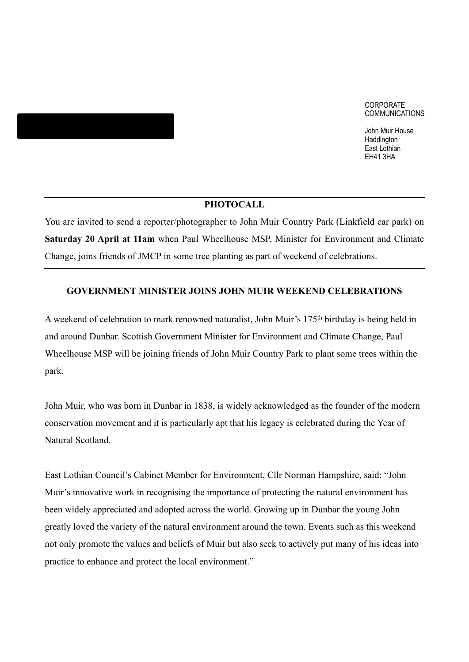#### CORPORATE COMMUNICATIONS

John Muir House Haddington East Lothian EH41 3HA

### **PHOTOCALL**

You are invited to send a reporter/photographer to John Muir Country Park (Linkfield car park) on **Saturday 20 April at 11am** when Paul Wheelhouse MSP, Minister for Environment and Climate Change, joins friends of JMCP in some tree planting as part of weekend of celebrations.

### **GOVERNMENT MINISTER JOINS JOHN MUIR WEEKEND CELEBRATIONS**

A weekend of celebration to mark renowned naturalist, John Muir's 175th birthday is being held in and around Dunbar. Scottish Government Minister for Environment and Climate Change, Paul Wheelhouse MSP will be joining friends of John Muir Country Park to plant some trees within the park.

John Muir, who was born in Dunbar in 1838, is widely acknowledged as the founder of the modern conservation movement and it is particularly apt that his legacy is celebrated during the Year of Natural Scotland.

East Lothian Council's Cabinet Member for Environment, Cllr Norman Hampshire, said: "John Muir's innovative work in recognising the importance of protecting the natural environment has been widely appreciated and adopted across the world. Growing up in Dunbar the young John greatly loved the variety of the natural environment around the town. Events such as this weekend not only promote the values and beliefs of Muir but also seek to actively put many of his ideas into practice to enhance and protect the local environment."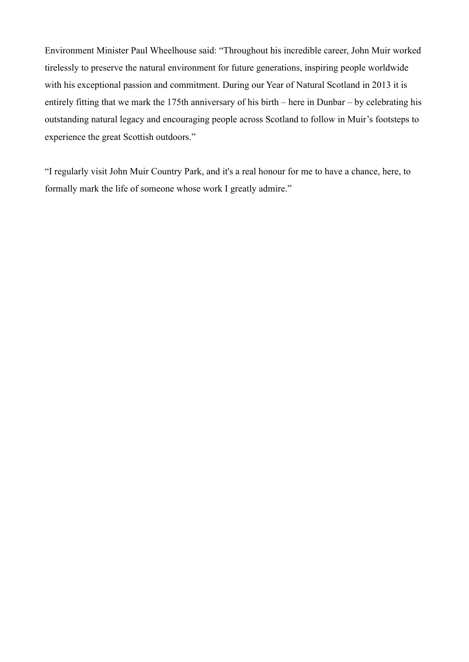Environment Minister Paul Wheelhouse said: "Throughout his incredible career, John Muir worked tirelessly to preserve the natural environment for future generations, inspiring people worldwide with his exceptional passion and commitment. During our Year of Natural Scotland in 2013 it is entirely fitting that we mark the 175th anniversary of his birth – here in Dunbar – by celebrating his outstanding natural legacy and encouraging people across Scotland to follow in Muir's footsteps to experience the great Scottish outdoors."

"I regularly visit John Muir Country Park, and it's a real honour for me to have a chance, here, to formally mark the life of someone whose work I greatly admire."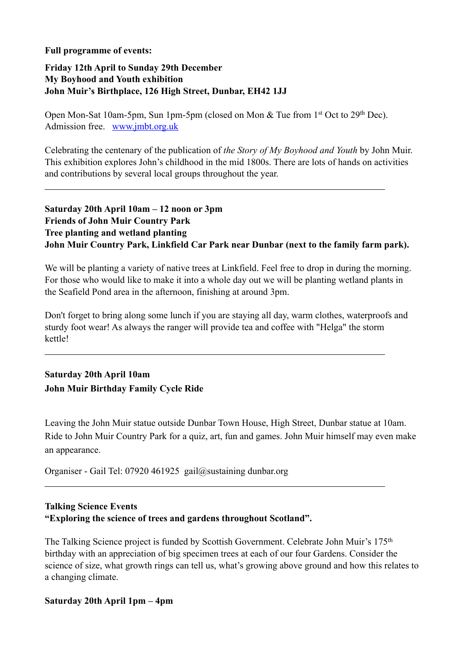### **Full programme of events:**

 $\overline{a}$ 

 $\overline{a}$ 

 $\overline{a}$ 

### **Friday 12th April to Sunday 29th December My Boyhood and Youth exhibition John Muir's Birthplace, 126 High Street, Dunbar, EH42 1JJ**

Open Mon-Sat 10am-5pm, Sun 1pm-5pm (closed on Mon & Tue from 1st Oct to 29th Dec). Admission free. [www.jmbt.org.uk](http://www.jmbt.org.uk)

Celebrating the centenary of the publication of *the Story of My Boyhood and Youth* by John Muir. This exhibition explores John's childhood in the mid 1800s. There are lots of hands on activities and contributions by several local groups throughout the year.

## **Saturday 20th April 10am – 12 noon or 3pm Friends of John Muir Country Park Tree planting and wetland planting John Muir Country Park, Linkfield Car Park near Dunbar (next to the family farm park).**

We will be planting a variety of native trees at Linkfield. Feel free to drop in during the morning. For those who would like to make it into a whole day out we will be planting wetland plants in the Seafield Pond area in the afternoon, finishing at around 3pm.

Don't forget to bring along some lunch if you are staying all day, warm clothes, waterproofs and sturdy foot wear! As always the ranger will provide tea and coffee with "Helga" the storm kettle!

# **Saturday 20th April 10am John Muir Birthday Family Cycle Ride**

Leaving the John Muir statue outside Dunbar Town House, High Street, Dunbar statue at 10am. Ride to John Muir Country Park for a quiz, art, fun and games. John Muir himself may even make an appearance.

Organiser - Gail Tel: 07920 461925gail@sustaining dunbar.org

# **Talking Science Events "Exploring the science of trees and gardens throughout Scotland".**

The Talking Science project is funded by Scottish Government. Celebrate John Muir's 175th birthday with an appreciation of big specimen trees at each of our four Gardens. Consider the science of size, what growth rings can tell us, what's growing above ground and how this relates to a changing climate.

### **Saturday 20th April 1pm – 4pm**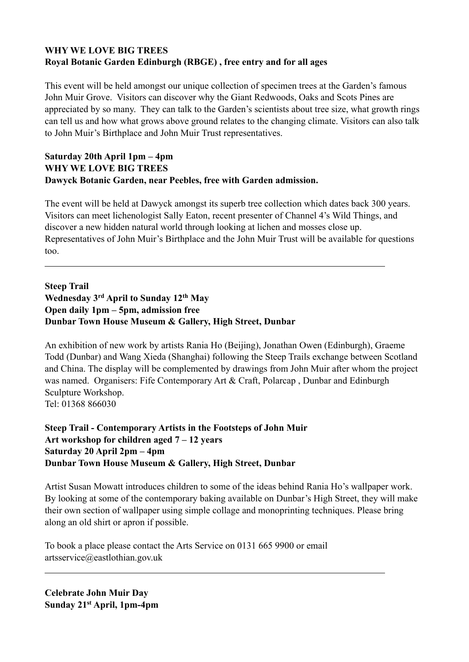# **WHY WE LOVE BIG TREES Royal Botanic Garden Edinburgh (RBGE) , free entry and for all ages**

This event will be held amongst our unique collection of specimen trees at the Garden's famous John Muir Grove. Visitors can discover why the Giant Redwoods, Oaks and Scots Pines are appreciated by so many. They can talk to the Garden's scientists about tree size, what growth rings can tell us and how what grows above ground relates to the changing climate. Visitors can also talk to John Muir's Birthplace and John Muir Trust representatives.

# **Saturday 20th April 1pm – 4pm WHY WE LOVE BIG TREES Dawyck Botanic Garden, near Peebles, free with Garden admission.**

The event will be held at Dawyck amongst its superb tree collection which dates back 300 years. Visitors can meet lichenologist Sally Eaton, recent presenter of Channel 4's Wild Things, and discover a new hidden natural world through looking at lichen and mosses close up. Representatives of John Muir's Birthplace and the John Muir Trust will be available for questions too.

**Steep Trail Wednesday 3rd April to Sunday 12th May Open daily 1pm – 5pm, admission free Dunbar Town House Museum & Gallery, High Street, Dunbar**

An exhibition of new work by artists Rania Ho (Beijing), Jonathan Owen (Edinburgh), Graeme Todd (Dunbar) and Wang Xieda (Shanghai) following the Steep Trails exchange between Scotland and China. The display will be complemented by drawings from John Muir after whom the project was named. Organisers: Fife Contemporary Art & Craft, Polarcap , Dunbar and Edinburgh Sculpture Workshop. Tel: 01368 866030

**Steep Trail - Contemporary Artists in the Footsteps of John Muir Art workshop for children aged 7 – 12 years Saturday 20 April 2pm – 4pm Dunbar Town House Museum & Gallery, High Street, Dunbar**

Artist Susan Mowatt introduces children to some of the ideas behind Rania Ho's wallpaper work. By looking at some of the contemporary baking available on Dunbar's High Street, they will make their own section of wallpaper using simple collage and monoprinting techniques. Please bring along an old shirt or apron if possible.

To book a place please contact the Arts Service on 0131 665 9900 or email artsservice@eastlothian.gov.uk

**Celebrate John Muir Day Sunday 21st April, 1pm-4pm**

 $\overline{a}$ 

 $\overline{a}$